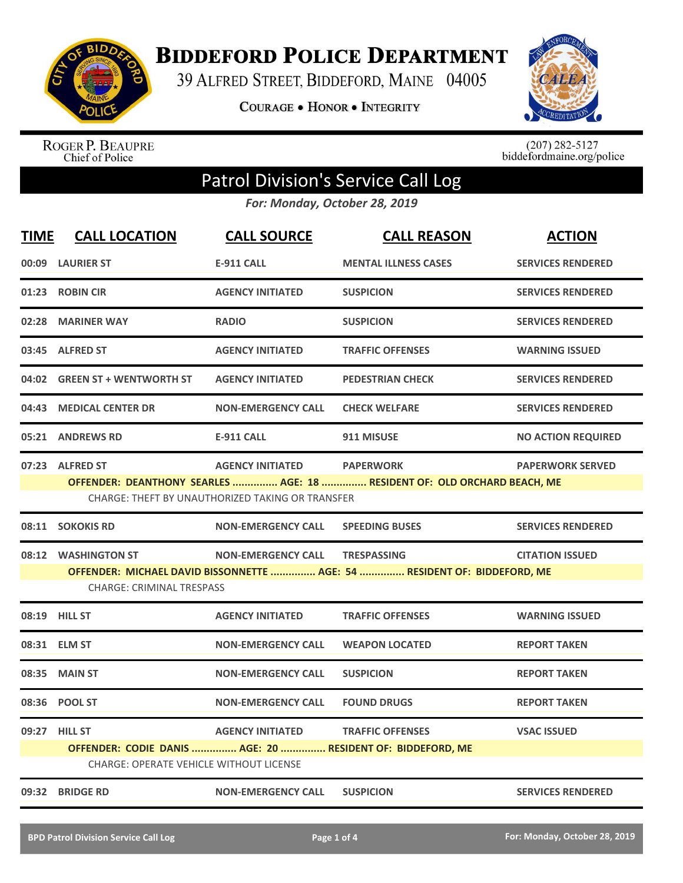

**BIDDEFORD POLICE DEPARTMENT** 

39 ALFRED STREET, BIDDEFORD, MAINE 04005

**COURAGE . HONOR . INTEGRITY** 



ROGER P. BEAUPRE<br>Chief of Police

 $(207)$  282-5127<br>biddefordmaine.org/police

## Patrol Division's Service Call Log

*For: Monday, October 28, 2019*

| <b>TIME</b> | <b>CALL LOCATION</b>                                            | <b>CALL SOURCE</b>                                                          | <b>CALL REASON</b>                                                                             | <b>ACTION</b>             |
|-------------|-----------------------------------------------------------------|-----------------------------------------------------------------------------|------------------------------------------------------------------------------------------------|---------------------------|
|             | 00:09 LAURIER ST                                                | <b>E-911 CALL</b>                                                           | <b>MENTAL ILLNESS CASES</b>                                                                    | <b>SERVICES RENDERED</b>  |
|             | 01:23 ROBIN CIR                                                 | <b>AGENCY INITIATED</b>                                                     | <b>SUSPICION</b>                                                                               | <b>SERVICES RENDERED</b>  |
| 02:28       | <b>MARINER WAY</b>                                              | <b>RADIO</b>                                                                | <b>SUSPICION</b>                                                                               | <b>SERVICES RENDERED</b>  |
|             | 03:45 ALFRED ST                                                 | <b>AGENCY INITIATED</b>                                                     | <b>TRAFFIC OFFENSES</b>                                                                        | <b>WARNING ISSUED</b>     |
|             | 04:02 GREEN ST + WENTWORTH ST                                   | <b>AGENCY INITIATED</b>                                                     | <b>PEDESTRIAN CHECK</b>                                                                        | <b>SERVICES RENDERED</b>  |
| 04:43       | <b>MEDICAL CENTER DR</b>                                        | <b>NON-EMERGENCY CALL</b>                                                   | <b>CHECK WELFARE</b>                                                                           | <b>SERVICES RENDERED</b>  |
|             | 05:21 ANDREWS RD                                                | <b>E-911 CALL</b>                                                           | 911 MISUSE                                                                                     | <b>NO ACTION REQUIRED</b> |
|             | 07:23 ALFRED ST                                                 | <b>AGENCY INITIATED</b><br>CHARGE: THEFT BY UNAUTHORIZED TAKING OR TRANSFER | <b>PAPERWORK</b><br>OFFENDER: DEANTHONY SEARLES  AGE: 18  RESIDENT OF: OLD ORCHARD BEACH, ME   | <b>PAPERWORK SERVED</b>   |
|             | 08:11 SOKOKIS RD                                                | <b>NON-EMERGENCY CALL</b>                                                   | <b>SPEEDING BUSES</b>                                                                          | <b>SERVICES RENDERED</b>  |
|             | 08:12 WASHINGTON ST<br><b>CHARGE: CRIMINAL TRESPASS</b>         | <b>NON-EMERGENCY CALL</b>                                                   | <b>TRESPASSING</b><br>OFFENDER: MICHAEL DAVID BISSONNETTE  AGE: 54  RESIDENT OF: BIDDEFORD, ME | <b>CITATION ISSUED</b>    |
|             | 08:19 HILL ST                                                   | <b>AGENCY INITIATED</b>                                                     | <b>TRAFFIC OFFENSES</b>                                                                        | <b>WARNING ISSUED</b>     |
|             | 08:31 ELM ST                                                    | <b>NON-EMERGENCY CALL</b>                                                   | <b>WEAPON LOCATED</b>                                                                          | <b>REPORT TAKEN</b>       |
| 08:35       | <b>MAIN ST</b>                                                  | <b>NON-EMERGENCY CALL</b>                                                   | <b>SUSPICION</b>                                                                               | <b>REPORT TAKEN</b>       |
|             | 08:36 POOL ST                                                   | <b>NON-EMERGENCY CALL</b>                                                   | <b>FOUND DRUGS</b>                                                                             | <b>REPORT TAKEN</b>       |
|             | 09:27 HILL ST<br><b>CHARGE: OPERATE VEHICLE WITHOUT LICENSE</b> | <b>AGENCY INITIATED</b>                                                     | <b>TRAFFIC OFFENSES</b><br>OFFENDER: CODIE DANIS  AGE: 20  RESIDENT OF: BIDDEFORD, ME          | <b>VSAC ISSUED</b>        |
|             | 09:32 BRIDGE RD                                                 | <b>NON-EMERGENCY CALL</b>                                                   | <b>SUSPICION</b>                                                                               | <b>SERVICES RENDERED</b>  |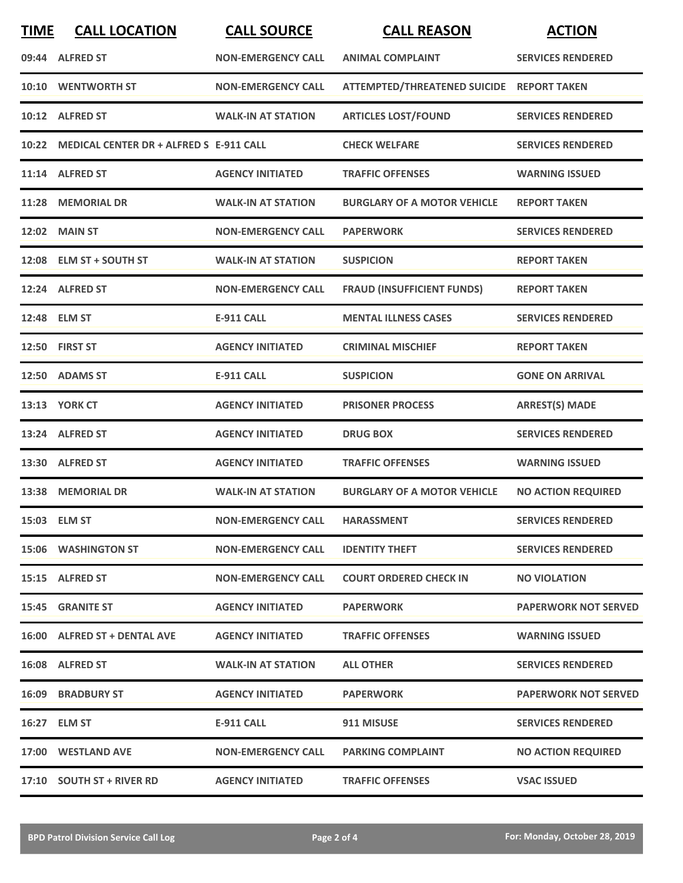| <b>TIME</b> | <b>CALL LOCATION</b>                          | <b>CALL SOURCE</b>        | <b>CALL REASON</b>                        | <b>ACTION</b>               |
|-------------|-----------------------------------------------|---------------------------|-------------------------------------------|-----------------------------|
|             | 09:44 ALFRED ST                               | <b>NON-EMERGENCY CALL</b> | <b>ANIMAL COMPLAINT</b>                   | <b>SERVICES RENDERED</b>    |
| 10:10       | <b>WENTWORTH ST</b>                           | <b>NON-EMERGENCY CALL</b> | ATTEMPTED/THREATENED SUICIDE REPORT TAKEN |                             |
|             | 10:12 ALFRED ST                               | <b>WALK-IN AT STATION</b> | <b>ARTICLES LOST/FOUND</b>                | <b>SERVICES RENDERED</b>    |
|             | 10:22 MEDICAL CENTER DR + ALFRED S E-911 CALL |                           | <b>CHECK WELFARE</b>                      | <b>SERVICES RENDERED</b>    |
|             | 11:14 ALFRED ST                               | <b>AGENCY INITIATED</b>   | <b>TRAFFIC OFFENSES</b>                   | <b>WARNING ISSUED</b>       |
|             | 11:28 MEMORIAL DR                             | <b>WALK-IN AT STATION</b> | <b>BURGLARY OF A MOTOR VEHICLE</b>        | <b>REPORT TAKEN</b>         |
|             | <b>12:02 MAIN ST</b>                          | <b>NON-EMERGENCY CALL</b> | <b>PAPERWORK</b>                          | <b>SERVICES RENDERED</b>    |
| 12:08       | <b>ELM ST + SOUTH ST</b>                      | <b>WALK-IN AT STATION</b> | <b>SUSPICION</b>                          | <b>REPORT TAKEN</b>         |
|             | 12:24 ALFRED ST                               | <b>NON-EMERGENCY CALL</b> | <b>FRAUD (INSUFFICIENT FUNDS)</b>         | <b>REPORT TAKEN</b>         |
|             | 12:48 ELM ST                                  | <b>E-911 CALL</b>         | <b>MENTAL ILLNESS CASES</b>               | <b>SERVICES RENDERED</b>    |
|             | 12:50 FIRST ST                                | <b>AGENCY INITIATED</b>   | <b>CRIMINAL MISCHIEF</b>                  | <b>REPORT TAKEN</b>         |
|             | 12:50 ADAMS ST                                | <b>E-911 CALL</b>         | <b>SUSPICION</b>                          | <b>GONE ON ARRIVAL</b>      |
|             | <b>13:13 YORK CT</b>                          | <b>AGENCY INITIATED</b>   | <b>PRISONER PROCESS</b>                   | <b>ARREST(S) MADE</b>       |
|             | 13:24 ALFRED ST                               | <b>AGENCY INITIATED</b>   | <b>DRUG BOX</b>                           | <b>SERVICES RENDERED</b>    |
|             | 13:30 ALFRED ST                               | <b>AGENCY INITIATED</b>   | <b>TRAFFIC OFFENSES</b>                   | <b>WARNING ISSUED</b>       |
|             | 13:38 MEMORIAL DR                             | <b>WALK-IN AT STATION</b> | <b>BURGLARY OF A MOTOR VEHICLE</b>        | <b>NO ACTION REQUIRED</b>   |
|             | 15:03 ELM ST                                  | <b>NON-EMERGENCY CALL</b> | <b>HARASSMENT</b>                         | <b>SERVICES RENDERED</b>    |
|             | 15:06 WASHINGTON ST                           | <b>NON-EMERGENCY CALL</b> | <b>IDENTITY THEFT</b>                     | <b>SERVICES RENDERED</b>    |
|             | 15:15 ALFRED ST                               | <b>NON-EMERGENCY CALL</b> | <b>COURT ORDERED CHECK IN</b>             | <b>NO VIOLATION</b>         |
|             | 15:45 GRANITE ST                              | <b>AGENCY INITIATED</b>   | <b>PAPERWORK</b>                          | <b>PAPERWORK NOT SERVED</b> |
|             | 16:00 ALFRED ST + DENTAL AVE                  | <b>AGENCY INITIATED</b>   | <b>TRAFFIC OFFENSES</b>                   | <b>WARNING ISSUED</b>       |
|             | 16:08 ALFRED ST                               | <b>WALK-IN AT STATION</b> | <b>ALL OTHER</b>                          | <b>SERVICES RENDERED</b>    |
|             | <b>16:09 BRADBURY ST</b>                      | <b>AGENCY INITIATED</b>   | <b>PAPERWORK</b>                          | <b>PAPERWORK NOT SERVED</b> |
|             | 16:27 ELM ST                                  | <b>E-911 CALL</b>         | 911 MISUSE                                | <b>SERVICES RENDERED</b>    |
|             | 17:00 WESTLAND AVE                            | <b>NON-EMERGENCY CALL</b> | <b>PARKING COMPLAINT</b>                  | <b>NO ACTION REQUIRED</b>   |
|             | 17:10 SOUTH ST + RIVER RD                     | <b>AGENCY INITIATED</b>   | <b>TRAFFIC OFFENSES</b>                   | <b>VSAC ISSUED</b>          |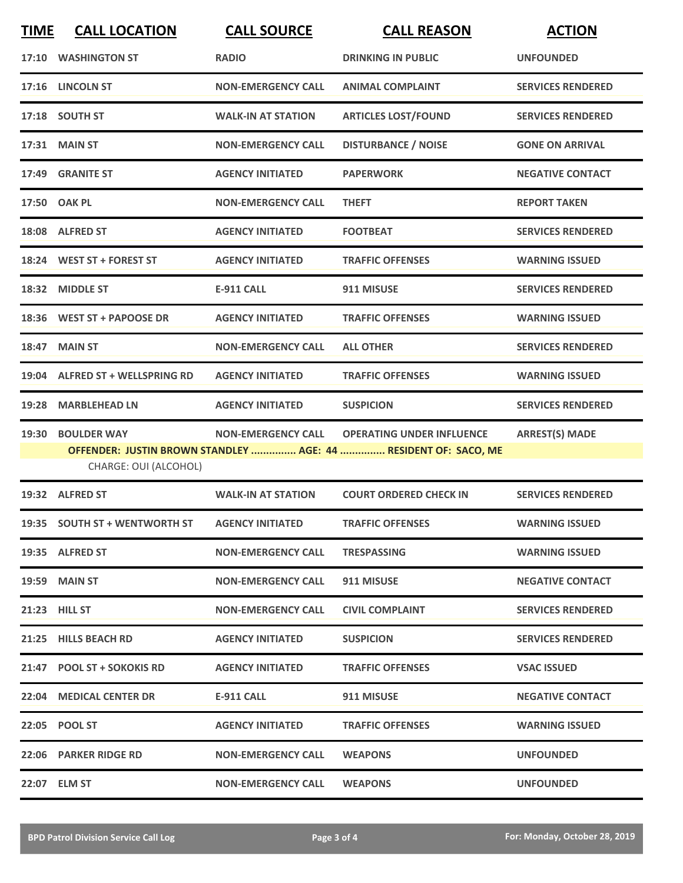| <b>TIME</b> | <b>CALL LOCATION</b>            | <b>CALL SOURCE</b>        | <b>CALL REASON</b>                                              | <b>ACTION</b>            |
|-------------|---------------------------------|---------------------------|-----------------------------------------------------------------|--------------------------|
|             | 17:10 WASHINGTON ST             | <b>RADIO</b>              | <b>DRINKING IN PUBLIC</b>                                       | <b>UNFOUNDED</b>         |
|             | 17:16 LINCOLN ST                | <b>NON-EMERGENCY CALL</b> | <b>ANIMAL COMPLAINT</b>                                         | <b>SERVICES RENDERED</b> |
|             | 17:18 SOUTH ST                  | <b>WALK-IN AT STATION</b> | <b>ARTICLES LOST/FOUND</b>                                      | <b>SERVICES RENDERED</b> |
|             | 17:31 MAIN ST                   | <b>NON-EMERGENCY CALL</b> | <b>DISTURBANCE / NOISE</b>                                      | <b>GONE ON ARRIVAL</b>   |
|             | 17:49 GRANITE ST                | <b>AGENCY INITIATED</b>   | <b>PAPERWORK</b>                                                | <b>NEGATIVE CONTACT</b>  |
|             | 17:50 OAK PL                    | <b>NON-EMERGENCY CALL</b> | <b>THEFT</b>                                                    | <b>REPORT TAKEN</b>      |
|             | 18:08 ALFRED ST                 | <b>AGENCY INITIATED</b>   | <b>FOOTBEAT</b>                                                 | <b>SERVICES RENDERED</b> |
|             | 18:24 WEST ST + FOREST ST       | <b>AGENCY INITIATED</b>   | <b>TRAFFIC OFFENSES</b>                                         | <b>WARNING ISSUED</b>    |
| 18:32       | <b>MIDDLE ST</b>                | <b>E-911 CALL</b>         | 911 MISUSE                                                      | <b>SERVICES RENDERED</b> |
|             | 18:36 WEST ST + PAPOOSE DR      | <b>AGENCY INITIATED</b>   | <b>TRAFFIC OFFENSES</b>                                         | <b>WARNING ISSUED</b>    |
|             | 18:47 MAIN ST                   | <b>NON-EMERGENCY CALL</b> | <b>ALL OTHER</b>                                                | <b>SERVICES RENDERED</b> |
|             | 19:04 ALFRED ST + WELLSPRING RD | <b>AGENCY INITIATED</b>   | <b>TRAFFIC OFFENSES</b>                                         | <b>WARNING ISSUED</b>    |
| 19:28       | <b>MARBLEHEAD LN</b>            | <b>AGENCY INITIATED</b>   | <b>SUSPICION</b>                                                | <b>SERVICES RENDERED</b> |
| 19:30       | <b>BOULDER WAY</b>              | <b>NON-EMERGENCY CALL</b> | <b>OPERATING UNDER INFLUENCE</b>                                | <b>ARREST(S) MADE</b>    |
|             | CHARGE: OUI (ALCOHOL)           |                           | OFFENDER: JUSTIN BROWN STANDLEY  AGE: 44  RESIDENT OF: SACO, ME |                          |
|             | 19:32 ALFRED ST                 | <b>WALK-IN AT STATION</b> | <b>COURT ORDERED CHECK IN</b>                                   | <b>SERVICES RENDERED</b> |
|             | 19:35 SOUTH ST + WENTWORTH ST   | <b>AGENCY INITIATED</b>   | <b>TRAFFIC OFFENSES</b>                                         | <b>WARNING ISSUED</b>    |
|             | 19:35 ALFRED ST                 | <b>NON-EMERGENCY CALL</b> | <b>TRESPASSING</b>                                              | <b>WARNING ISSUED</b>    |
|             | <b>19:59 MAIN ST</b>            | <b>NON-EMERGENCY CALL</b> | 911 MISUSE                                                      | <b>NEGATIVE CONTACT</b>  |
|             | 21:23 HILL ST                   | <b>NON-EMERGENCY CALL</b> | <b>CIVIL COMPLAINT</b>                                          | <b>SERVICES RENDERED</b> |
|             | 21:25 HILLS BEACH RD            | <b>AGENCY INITIATED</b>   | <b>SUSPICION</b>                                                | <b>SERVICES RENDERED</b> |
|             | 21:47 POOL ST + SOKOKIS RD      | <b>AGENCY INITIATED</b>   | <b>TRAFFIC OFFENSES</b>                                         | <b>VSAC ISSUED</b>       |
|             | 22:04 MEDICAL CENTER DR         | E-911 CALL                | 911 MISUSE                                                      | <b>NEGATIVE CONTACT</b>  |
|             | 22:05 POOL ST                   | <b>AGENCY INITIATED</b>   | <b>TRAFFIC OFFENSES</b>                                         | <b>WARNING ISSUED</b>    |
|             | 22:06 PARKER RIDGE RD           | <b>NON-EMERGENCY CALL</b> | <b>WEAPONS</b>                                                  | <b>UNFOUNDED</b>         |
|             | 22:07 ELM ST                    | <b>NON-EMERGENCY CALL</b> | <b>WEAPONS</b>                                                  | <b>UNFOUNDED</b>         |